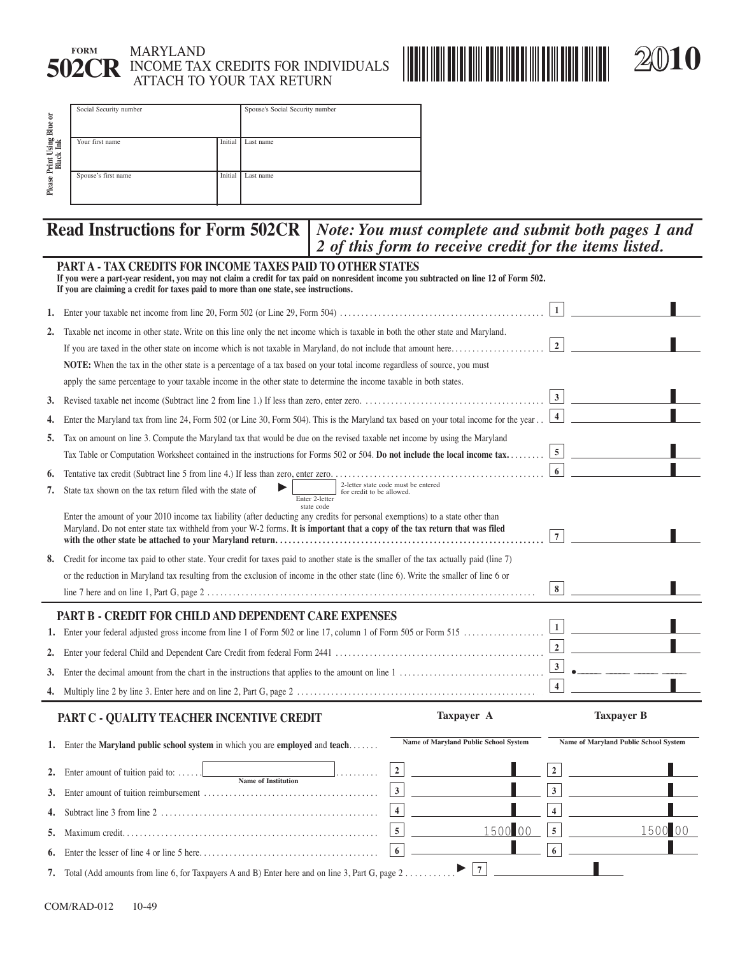

## **FORM** MARYLAND **502CR** INCOME TAX CREDITS FOR INDIVIDUALS ATTACH TO YOUR TAX RETURN



| $\overline{5}$<br>Blue               | Social Security number |         | Spouse's Social Security number |
|--------------------------------------|------------------------|---------|---------------------------------|
| Print Using 1<br>Black Ink<br>Please | Your first name        | Initial | Last name                       |
|                                      | Spouse's first name    | Initial | Last name                       |

### *Note: You must complete and submit both pages 1 and 2 of this form to receive credit for the items listed.*  **Read Instructions for Form 502CR**

|    | <b>Read Instructions for Form 502CR</b><br>Note: You must complete and submit both pages 1 and<br>2 of this form to receive credit for the items listed.                                                                                                                                      |                         |                                       |
|----|-----------------------------------------------------------------------------------------------------------------------------------------------------------------------------------------------------------------------------------------------------------------------------------------------|-------------------------|---------------------------------------|
|    | PART A - TAX CREDITS FOR INCOME TAXES PAID TO OTHER STATES<br>If you were a part-year resident, you may not claim a credit for tax paid on nonresident income you subtracted on line 12 of Form 502.<br>If you are claiming a credit for taxes paid to more than one state, see instructions. |                         |                                       |
| 1. |                                                                                                                                                                                                                                                                                               | $\mathbf{1}$            |                                       |
| 2. | Taxable net income in other state. Write on this line only the net income which is taxable in both the other state and Maryland.                                                                                                                                                              |                         |                                       |
|    | If you are taxed in the other state on income which is not taxable in Maryland, do not include that amount here                                                                                                                                                                               | $\overline{2}$          |                                       |
|    | NOTE: When the tax in the other state is a percentage of a tax based on your total income regardless of source, you must                                                                                                                                                                      |                         |                                       |
|    | apply the same percentage to your taxable income in the other state to determine the income taxable in both states.                                                                                                                                                                           |                         |                                       |
| 3. |                                                                                                                                                                                                                                                                                               | $\vert 3 \vert$         |                                       |
| 4. | Enter the Maryland tax from line 24, Form 502 (or Line 30, Form 504). This is the Maryland tax based on your total income for the year                                                                                                                                                        | $\overline{\mathbf{4}}$ |                                       |
| 5. | Tax on amount on line 3. Compute the Maryland tax that would be due on the revised taxable net income by using the Maryland                                                                                                                                                                   |                         |                                       |
|    | Tax Table or Computation Worksheet contained in the instructions for Forms 502 or 504. Do not include the local income tax                                                                                                                                                                    | $5\overline{5}$         |                                       |
| 6. | Tentative tax credit (Subtract line 5 from line 4.) If less than zero, enter zero.                                                                                                                                                                                                            | 6                       |                                       |
| 7. | 2-letter state code must be entered<br>State tax shown on the tax return filed with the state of<br>for credit to be allowed.<br>Enter 2-letter                                                                                                                                               |                         |                                       |
|    | state code<br>Enter the amount of your 2010 income tax liability (after deducting any credits for personal exemptions) to a state other than<br>Maryland. Do not enter state tax withheld from your W-2 forms. It is important that a copy of the tax return that was filed                   | $\overline{7}$          |                                       |
| 8. | Credit for income tax paid to other state. Your credit for taxes paid to another state is the smaller of the tax actually paid (line 7)                                                                                                                                                       |                         |                                       |
|    | or the reduction in Maryland tax resulting from the exclusion of income in the other state (line 6). Write the smaller of line 6 or                                                                                                                                                           |                         |                                       |
|    |                                                                                                                                                                                                                                                                                               | $\bf8$                  |                                       |
|    | PART B - CREDIT FOR CHILD AND DEPENDENT CARE EXPENSES                                                                                                                                                                                                                                         |                         |                                       |
|    | 1. Enter your federal adjusted gross income from line 1 of Form 502 or line 17, column 1 of Form 505 or Form 515                                                                                                                                                                              | $\vert 1 \vert$         |                                       |
| 2. |                                                                                                                                                                                                                                                                                               | $\mathbf 2$             |                                       |
| 3. |                                                                                                                                                                                                                                                                                               | $\vert$ 3               |                                       |
|    |                                                                                                                                                                                                                                                                                               | $\overline{\mathbf{4}}$ |                                       |
|    | <b>Taxpayer A</b><br>PART C - QUALITY TEACHER INCENTIVE CREDIT                                                                                                                                                                                                                                |                         | <b>Taxpayer B</b>                     |
|    | Name of Maryland Public School System<br>1. Enter the Maryland public school system in which you are employed and teach                                                                                                                                                                       |                         | Name of Maryland Public School System |
|    | $\mathbf 2$<br>Enter amount of tuition paid to:<br><b>Name of Institution</b>                                                                                                                                                                                                                 |                         |                                       |
| 3. | $\mathbf{3}$                                                                                                                                                                                                                                                                                  | $\mathbf{3}$            |                                       |
| 4. | $\overline{\mathbf{4}}$                                                                                                                                                                                                                                                                       | $\overline{\mathbf{4}}$ |                                       |
| 5. | 1500 00<br>$5\overline{5}$                                                                                                                                                                                                                                                                    | $\sqrt{5}$              | 1500 00                               |
| 6. | $6\phantom{.}$                                                                                                                                                                                                                                                                                | 6                       |                                       |
|    | 7                                                                                                                                                                                                                                                                                             |                         |                                       |
| 7. | Total (Add amounts from line 6, for Taxpayers A and B) Enter here and on line 3, Part G, page 2                                                                                                                                                                                               |                         |                                       |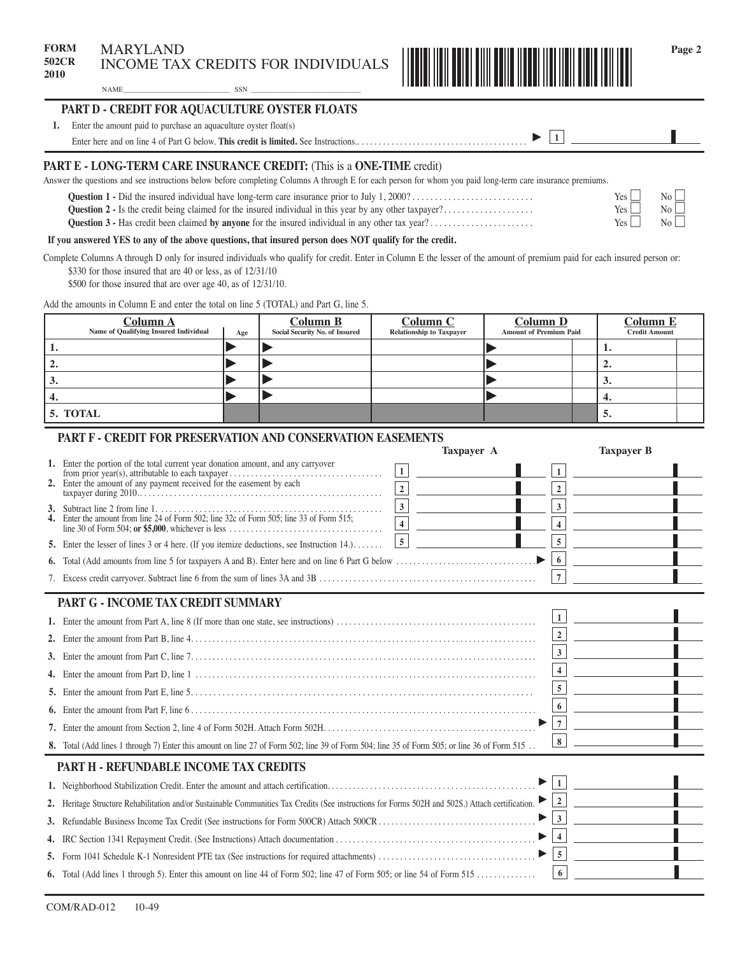

# NAME\_\_\_\_\_\_\_\_\_\_\_\_\_\_\_\_\_\_\_\_\_\_\_\_\_\_\_\_\_\_ SSN \_\_\_\_\_\_\_\_\_\_\_\_\_\_\_\_\_\_\_\_\_\_\_\_\_\_\_\_\_\_\_ 10502C149 **PART D - CREDIT FOR AQUACULTURE OYSTER FLOATS**

| <b>PART E - LONG-TERM CARE INSURANCE CREDIT: (This is a ONE-TIME credit)</b>       |  |
|------------------------------------------------------------------------------------|--|
| Enter here and on line 4 of Part G below. This credit is limited. See Instructions |  |
| Enter the amount paid to purchase an aquaculture oyster float(s)                   |  |

| Answer the questions and see instructions below before completing Columns A through E for each person for whom you paid long-term care insurance premiums. |                  |
|------------------------------------------------------------------------------------------------------------------------------------------------------------|------------------|
|                                                                                                                                                            | Yes              |
| <b>Question 2</b> - Is the credit being claimed for the insured individual in this year by any other taxpayer?                                             | Yes <sub>l</sub> |

|                        | N <sub>0</sub> |
|------------------------|----------------|
|                        | No t           |
| 1 YTTA<br><b>ALCOM</b> |                |

### **If you answered YES to any of the above questions, that insured person does NOT qualify for the credit.**

Complete Columns A through D only for insured individuals who qualify for credit. Enter in Column E the lesser of the amount of premium paid for each insured person or: \$330 for those insured that are 40 or less, as of  $12/31/10$ 

\$500 for those insured that are over age 40, as of 12/31/10.

Add the amounts in Column E and enter the total on line 5 (TOTAL) and Part G, line 5.

| <u>Column A</u><br>Name of Qualifying Insured Individual | Age | <b>Column B</b><br>Social Security No. of Insured | <b>Column C</b><br><b>Relationship to Taxpayer</b> | Column D<br><b>Amount of Premium Paid</b> | <b>Column E</b><br><b>Credit Amount</b> |  |
|----------------------------------------------------------|-----|---------------------------------------------------|----------------------------------------------------|-------------------------------------------|-----------------------------------------|--|
|                                                          |     |                                                   |                                                    |                                           |                                         |  |
| 2.                                                       |     |                                                   |                                                    |                                           | ٠.                                      |  |
| $\mathcal{S}$                                            |     |                                                   |                                                    |                                           | v.                                      |  |
| 4.                                                       |     |                                                   |                                                    |                                           | 4.                                      |  |
| 5. TOTAL                                                 |     |                                                   |                                                    |                                           | 5.                                      |  |

### **PART F - CREDIT FOR PRESERVATION AND CONSERVATION EASEMENTS**

|                                                                                                                                                                                                                              | Taxpayer A        |                                           | <b>Taxpayer B</b> |  |
|------------------------------------------------------------------------------------------------------------------------------------------------------------------------------------------------------------------------------|-------------------|-------------------------------------------|-------------------|--|
| 1. Enter the portion of the total current year donation amount, and any carryover                                                                                                                                            | $\vert 1 \vert$   | $\mathbf{1}$                              |                   |  |
|                                                                                                                                                                                                                              | $\boxed{2}$       | $\overline{2}$                            |                   |  |
| 3. Subtract line 2 from line 1. $\ldots$ . $\ldots$ . $\ldots$ . $\ldots$ . $\ldots$ . $\ldots$ . $\ldots$ . $\ldots$ . $\ldots$<br>4. Enter the amount from line 24 of Form 502; line 32c of Form 505; line 33 of Form 515; | 3 <br>$\boxed{4}$ | $\overline{3}$<br>$\overline{\mathbf{4}}$ |                   |  |
|                                                                                                                                                                                                                              |                   |                                           |                   |  |
| 5. Enter the lesser of lines 3 or 4 here. (If you itemize deductions, see Instruction $14.$ )                                                                                                                                | $\vert 5 \vert$   | $\sqrt{5}$                                |                   |  |
|                                                                                                                                                                                                                              |                   | 6                                         |                   |  |
|                                                                                                                                                                                                                              |                   | $\overline{7}$                            |                   |  |
|                                                                                                                                                                                                                              |                   |                                           |                   |  |
| PART G - INCOME TAX CREDIT SUMMARY                                                                                                                                                                                           |                   |                                           |                   |  |
|                                                                                                                                                                                                                              |                   | $\vert$ 1                                 |                   |  |
|                                                                                                                                                                                                                              |                   | $\overline{2}$                            |                   |  |
|                                                                                                                                                                                                                              |                   | 3 <sup>1</sup>                            |                   |  |
|                                                                                                                                                                                                                              |                   | $\overline{\mathbf{4}}$                   |                   |  |
|                                                                                                                                                                                                                              |                   | 5 <sup>5</sup>                            |                   |  |
| 6. Enter the amount from Part F, line $6 \ldots 1000$ .                                                                                                                                                                      |                   | 6                                         |                   |  |
|                                                                                                                                                                                                                              |                   | $\overline{7}$                            |                   |  |
| 8. Total (Add lines 1 through 7) Enter this amount on line 27 of Form 502; line 39 of Form 504; line 35 of Form 505; or line 36 of Form 515.                                                                                 |                   | 8                                         |                   |  |
| PART H - REFUNDABLE INCOME TAX CREDITS                                                                                                                                                                                       |                   |                                           |                   |  |
|                                                                                                                                                                                                                              |                   | $\vert$ 1                                 |                   |  |
| 2. Heritage Structure Rehabilitation and/or Sustainable Communities Tax Credits (See instructions for Forms 502H and 502S.) Attach certification. [2                                                                         |                   |                                           |                   |  |
|                                                                                                                                                                                                                              | $\mathbf{3}$      |                                           |                   |  |
| $\blacktriangleright$                                                                                                                                                                                                        |                   |                                           |                   |  |
|                                                                                                                                                                                                                              |                   |                                           |                   |  |
| 6. Total (Add lines 1 through 5). Enter this amount on line 44 of Form 502; line 47 of Form 505; or line 54 of Form 515                                                                                                      |                   | 6                                         |                   |  |
|                                                                                                                                                                                                                              |                   |                                           |                   |  |

 $\mathbb{N}^{\circ}$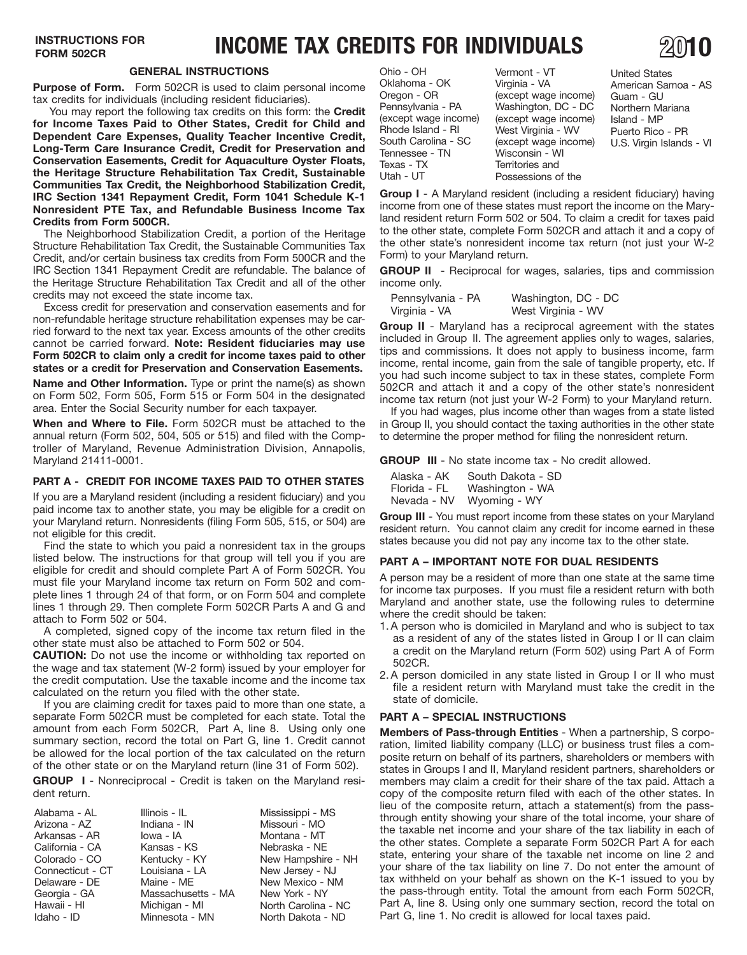# **INSTRUCTIONS FOR <b>INCOME TAX CREDITS FOR INDIVIDUALS**

**Purpose of Form.** Form 502CR is used to claim personal income tax credits for individuals (including resident fiduciaries).

 **Long-Term Care Insurance Credit, Credit for Preservation and**  You may report the following tax credits on this form: the **Credit for Income Taxes Paid to Other States, Credit for Child and Dependent Care Expenses, Quality Teacher Incentive Credit, Conservation Easements, Credit for Aquaculture Oyster Floats, the Heritage Structure Rehabilitation Tax Credit, Sustainable Communities Tax Credit, the Neighborhood Stabilization Credit, IRC Section 1341 Repayment Credit, Form 1041 Schedule K-1 Nonresident PTE Tax, and Refundable Business Income Tax Credits from Form 500CR.** 

The Neighborhood Stabilization Credit, a portion of the Heritage Structure Rehabilitation Tax Credit, the Sustainable Communities Tax Credit, and/or certain business tax credits from Form 500CR and the IRC Section 1341 Repayment Credit are refundable. The balance of the Heritage Structure Rehabilitation Tax Credit and all of the other credits may not exceed the state income tax.

Excess credit for preservation and conservation easements and for non-refundable heritage structure rehabilitation expenses may be carried forward to the next tax year. Excess amounts of the other credits cannot be carried forward. **Note: Resident fiduciaries may use Form 502CR to claim only a credit for income taxes paid to other states or a credit for Preservation and Conservation Easements.** 

**Name and Other Information.** Type or print the name(s) as shown on Form 502, Form 505, Form 515 or Form 504 in the designated area. Enter the Social Security number for each taxpayer.

**When and Where to File.** Form 502CR must be attached to the annual return (Form 502, 504, 505 or 515) and filed with the Comptroller of Maryland, Revenue Administration Division, Annapolis, Maryland 21411-0001.

### **PART A - CREDIT FOR INCOME TAXES PAID TO OTHER STATES**

If you are a Maryland resident (including a resident fiduciary) and you paid income tax to another state, you may be eligible for a credit on your Maryland return. Nonresidents (filing Form 505, 515, or 504) are not eligible for this credit.

Find the state to which you paid a nonresident tax in the groups listed below. The instructions for that group will tell you if you are eligible for credit and should complete Part A of Form 502CR. You must file your Maryland income tax return on Form 502 and complete lines 1 through 24 of that form, or on Form 504 and complete lines 1 through 29. Then complete Form 502CR Parts A and G and attach to Form 502 or 504.

A completed, signed copy of the income tax return filed in the other state must also be attached to Form 502 or 504.

**CAUTION:** Do not use the income or withholding tax reported on the wage and tax statement (W-2 form) issued by your employer for the credit computation. Use the taxable income and the income tax calculated on the return you filed with the other state.

If you are claiming credit for taxes paid to more than one state, a separate Form 502CR must be completed for each state. Total the amount from each Form 502CR, Part A, line 8. Using only one summary section, record the total on Part G, line 1. Credit cannot be allowed for the local portion of the tax calculated on the return of the other state or on the Maryland return (line 31 of Form 502).

**GROUP I** - Nonreciprocal - Credit is taken on the Maryland resident return.

| Alabama - AL     | Illinois - IL      | Mississippi - MS    |
|------------------|--------------------|---------------------|
| Arizona - AZ     | Indiana - IN       | Missouri - MO       |
| Arkansas - AR    | lowa - IA          | Montana - MT        |
| California - CA  | Kansas - KS        | Nebraska - NE       |
| Colorado - CO    | Kentucky - KY      | New Hampshire - NH  |
| Connecticut - CT | Louisiana - LA     | New Jersey - NJ     |
| Delaware - DE    | Maine - ME         | New Mexico - NM     |
| Georgia - GA     | Massachusetts - MA | New York - NY       |
| Hawaii - HI      | Michigan - MI      | North Carolina - NC |
| Idaho - ID       | Minnesota - MN     | North Dakota - ND   |

| Paid to Other States, Credit for Child and<br>Rhode Island - RI<br>West Virginia - WV<br>Expenses, Quality Teacher Incentive Credit,<br>South Carolina - SC<br>(except wage income)<br>nsurance Credit, Credit for Preservation and<br>Tennessee - TN<br>Wisconsin - WI<br>ements, Credit for Aquaculture Oyster Floats,<br>Texas - TX<br>Territories and | <b>GENERAL INSTRUCTIONS</b><br>Form 502CR is used to claim personal income<br>iduals (including resident fiduciaries).<br>the following tax credits on this form: the Credit | Ohio - OH<br>Oklahoma - OK<br>Oregon - OR<br>Pennsylvania - PA<br>(except wage income) | Vermont - VT<br>Virginia - VA<br>(except wage income)<br>Washington, DC - DC<br>(except wage income) | <b>United States</b><br>American Sar<br>Guam - GU<br>Northern Mari<br>Island - MP |
|-----------------------------------------------------------------------------------------------------------------------------------------------------------------------------------------------------------------------------------------------------------------------------------------------------------------------------------------------------------|------------------------------------------------------------------------------------------------------------------------------------------------------------------------------|----------------------------------------------------------------------------------------|------------------------------------------------------------------------------------------------------|-----------------------------------------------------------------------------------|
|                                                                                                                                                                                                                                                                                                                                                           | cture Rehabilitation Tax Credit, Sustainable                                                                                                                                 | Utah - UT                                                                              | Possessions of the                                                                                   | Puerto Rico -<br>U.S. Virgin Isla                                                 |

(except wage income) Guam - GU<br>Washington, DC - DC Northern Mariana Washington, DC - DC Northern Markie except wage income) Island - MP (except wage income)<br>West Virginia - WV West Virginia - WV Puerto Rico - PR<br>(except wage income) U.S. Virgin Islands Wisconsin - WI Territories and Possessions of the

American Samoa - AS U.S. Virgin Islands - VI

 **Group I** - A Maryland resident (including a resident fiduciary) having income from one of these states must report the income on the Maryland resident return Form 502 or 504. To claim a credit for taxes paid to the other state, complete Form 502CR and attach it and a copy of the other state's nonresident income tax return (not just your W-2 Form) to your Maryland return.

**GROUP II** - Reciprocal for wages, salaries, tips and commission income only.

| Pennsylvania - PA | Washington, DC - DC |
|-------------------|---------------------|
| Virginia - VA     | West Virginia - WV  |

income tax return (not just your W-2 Form) to your Maryland return. **Group II** - Maryland has a reciprocal agreement with the states included in Group II. The agreement applies only to wages, salaries, tips and commissions. It does not apply to business income, farm income, rental income, gain from the sale of tangible property, etc. If you had such income subject to tax in these states, complete Form 502CR and attach it and a copy of the other state's nonresident

If you had wages, plus income other than wages from a state listed in Group II, you should contact the taxing authorities in the other state to determine the proper method for filing the nonresident return.

**GROUP III** - No state income tax - No credit allowed.

| Alaska - AK  | South Dakota - SD |
|--------------|-------------------|
| Florida - FL | Washington - WA   |
| Nevada - NV  | Wyoming - WY      |

**Group III** - You must report income from these states on your Maryland resident return. You cannot claim any credit for income earned in these states because you did not pay any income tax to the other state.

### **PART A – IMPORTANT NOTE FOR DUAL RESIDENTS**

 Maryland and another state, use the following rules to determine A person may be a resident of more than one state at the same time for income tax purposes. If you must file a resident return with both where the credit should be taken:

- 1. A person who is domiciled in Maryland and who is subject to tax as a resident of any of the states listed in Group I or II can claim a credit on the Maryland return (Form 502) using Part A of Form 502CR.
- 2. A person domiciled in any state listed in Group I or II who must file a resident return with Maryland must take the credit in the state of domicile.

### **PART A – SPECIAL INSTRUCTIONS**

**Members of Pass-through Entities** - When a partnership, S corporation, limited liability company (LLC) or business trust files a composite return on behalf of its partners, shareholders or members with states in Groups I and II, Maryland resident partners, shareholders or members may claim a credit for their share of the tax paid. Attach a copy of the composite return filed with each of the other states. In lieu of the composite return, attach a statement(s) from the passthrough entity showing your share of the total income, your share of the taxable net income and your share of the tax liability in each of the other states. Complete a separate Form 502CR Part A for each state, entering your share of the taxable net income on line 2 and your share of the tax liability on line 7. Do not enter the amount of tax withheld on your behalf as shown on the K-1 issued to you by the pass-through entity. Total the amount from each Form 502CR, Part A, line 8. Using only one summary section, record the total on Part G, line 1. No credit is allowed for local taxes paid.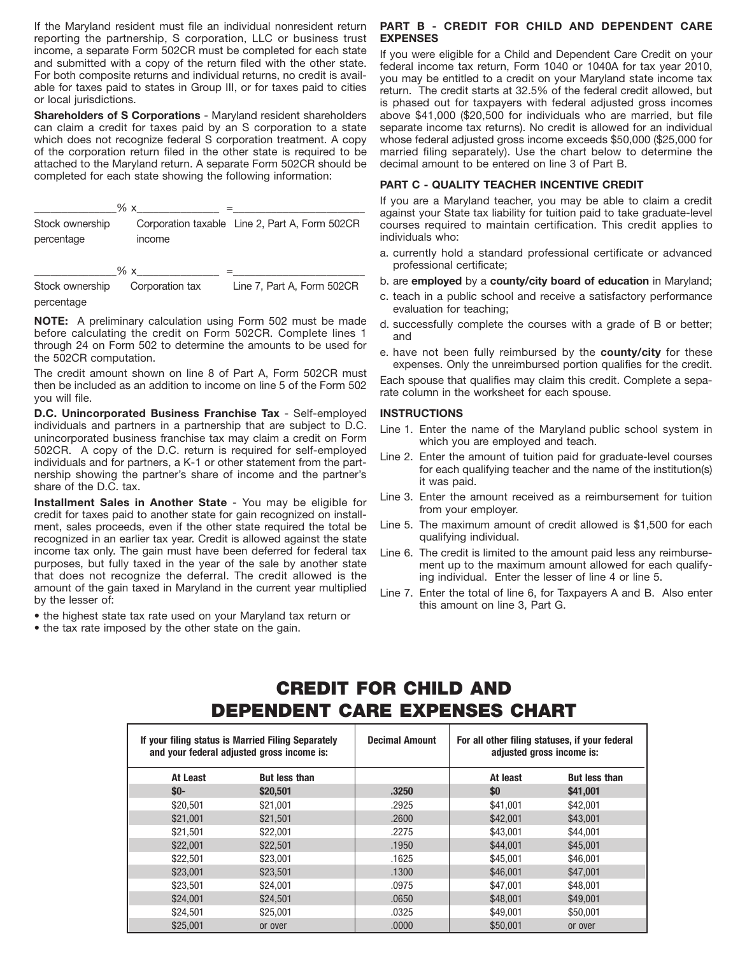If the Maryland resident must file an individual nonresident return reporting the partnership, S corporation, LLC or business trust income, a separate Form 502CR must be completed for each state and submitted with a copy of the return filed with the other state. For both composite returns and individual returns, no credit is available for taxes paid to states in Group III, or for taxes paid to cities or local jurisdictions.

**Shareholders of S Corporations** - Maryland resident shareholders can claim a credit for taxes paid by an S corporation to a state which does not recognize federal S corporation treatment. A copy of the corporation return filed in the other state is required to be attached to the Maryland return. A separate Form 502CR should be completed for each state showing the following information:

|                               | % x    |                                                |
|-------------------------------|--------|------------------------------------------------|
| Stock ownership<br>percentage | income | Corporation taxable Line 2, Part A, Form 502CR |
|                               | % x    |                                                |

Stock ownership Corporation tax Line 7, Part A, Form 502CR percentage

**NOTE:** A preliminary calculation using Form 502 must be made before calculating the credit on Form 502CR. Complete lines 1 through 24 on Form 502 to determine the amounts to be used for the 502CR computation.

The credit amount shown on line 8 of Part A, Form 502CR must then be included as an addition to income on line 5 of the Form 502 you will file.

**D.C. Unincorporated Business Franchise Tax** - Self-employed individuals and partners in a partnership that are subject to D.C. unincorporated business franchise tax may claim a credit on Form 502CR. A copy of the D.C. return is required for self-employed individuals and for partners, a K-1 or other statement from the partnership showing the partner's share of income and the partner's share of the D.C. tax.

**Installment Sales in Another State** - You may be eligible for credit for taxes paid to another state for gain recognized on installment, sales proceeds, even if the other state required the total be recognized in an earlier tax year. Credit is allowed against the state income tax only. The gain must have been deferred for federal tax purposes, but fully taxed in the year of the sale by another state that does not recognize the deferral. The credit allowed is the amount of the gain taxed in Maryland in the current year multiplied by the lesser of:

- the highest state tax rate used on your Maryland tax return or
- the tax rate imposed by the other state on the gain.

### **PART B - CREDIT FOR CHILD AND DEPENDENT CARE EXPENSES**

If you were eligible for a Child and Dependent Care Credit on your federal income tax return, Form 1040 or 1040A for tax year 2010, you may be entitled to a credit on your Maryland state income tax return. The credit starts at 32.5% of the federal credit allowed, but is phased out for taxpayers with federal adjusted gross incomes above \$41,000 (\$20,500 for individuals who are married, but file separate income tax returns). No credit is allowed for an individual whose federal adjusted gross income exceeds \$50,000 (\$25,000 for married filing separately). Use the chart below to determine the decimal amount to be entered on line 3 of Part B.

### **PART C - QUALITY TEACHER INCENTIVE CREDIT**

If you are a Maryland teacher, you may be able to claim a credit against your State tax liability for tuition paid to take graduate-level courses required to maintain certification. This credit applies to individuals who:

- a. currently hold a standard professional certificate or advanced professional certificate;
- b. are **employed** by a **county/city board of education** in Maryland;
- c. teach in a public school and receive a satisfactory performance evaluation for teaching;
- d. successfully complete the courses with a grade of B or better; and
- e. have not been fully reimbursed by the **county/city** for these expenses. Only the unreimbursed portion qualifies for the credit.

Each spouse that qualifies may claim this credit. Complete a separate column in the worksheet for each spouse.

### **INSTRUCTIONS**

- Line 1. Enter the name of the Maryland public school system in which you are employed and teach.
- Line 2. Enter the amount of tuition paid for graduate-level courses for each qualifying teacher and the name of the institution(s) it was paid.
- Line 3. Enter the amount received as a reimbursement for tuition from your employer.
- Line 5. The maximum amount of credit allowed is \$1,500 for each qualifying individual.
- Line 6. The credit is limited to the amount paid less any reimbursement up to the maximum amount allowed for each qualifying individual. Enter the lesser of line 4 or line 5.
- Line 7. Enter the total of line 6, for Taxpayers A and B. Also enter this amount on line 3, Part G.

## CREDIT FOR CHILD AND DEPENDENT CARE EXPENSES CHART

| If your filing status is Married Filing Separately<br>and your federal adjusted gross income is: |                      | <b>Decimal Amount</b> | For all other filing statuses, if your federal<br>adjusted gross income is: |                      |
|--------------------------------------------------------------------------------------------------|----------------------|-----------------------|-----------------------------------------------------------------------------|----------------------|
| At Least                                                                                         | <b>But less than</b> |                       | At least                                                                    | <b>But less than</b> |
| $$0-$                                                                                            | \$20,501             | .3250                 | \$0                                                                         | \$41,001             |
| \$20,501                                                                                         | \$21,001             | .2925                 | \$41,001                                                                    | \$42,001             |
| \$21,001                                                                                         | \$21,501             | .2600                 | \$42,001                                                                    | \$43,001             |
| \$21.501                                                                                         | \$22,001             | .2275                 | \$43,001                                                                    | \$44,001             |
| \$22,001                                                                                         | \$22,501             | .1950                 | \$44,001                                                                    | \$45,001             |
| \$22,501                                                                                         | \$23,001             | .1625                 | \$45,001                                                                    | \$46,001             |
| \$23,001                                                                                         | \$23.501             | .1300                 | \$46,001                                                                    | \$47,001             |
| \$23,501                                                                                         | \$24,001             | .0975                 | \$47,001                                                                    | \$48,001             |
| \$24.001                                                                                         | \$24,501             | .0650                 | \$48,001                                                                    | \$49,001             |
| \$24,501                                                                                         | \$25,001             | .0325                 | \$49.001                                                                    | \$50,001             |
| \$25,001                                                                                         | or over              | .0000                 | \$50,001                                                                    | or over              |